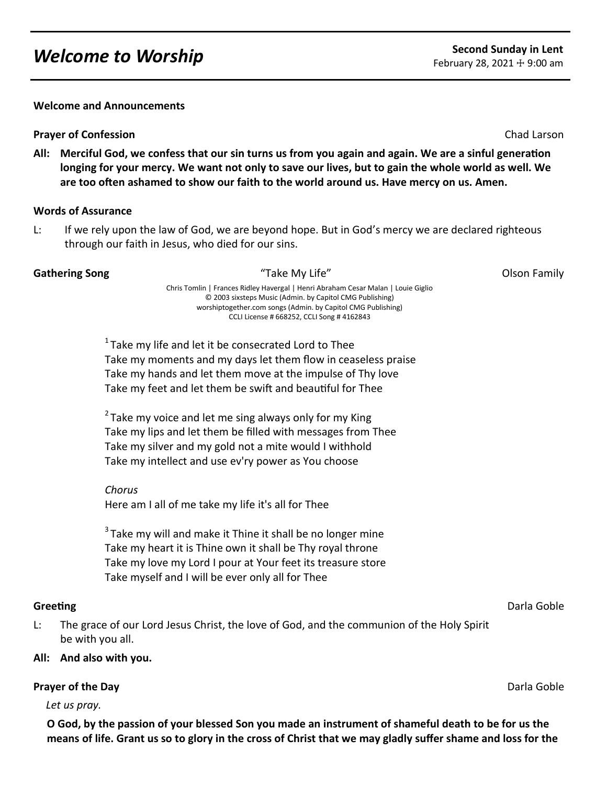# *Welcome to Worship* **Second Sunday in Lent**<br> **Second Sunday in Lent**

**Welcome and Announcements**

#### **Prayer of Confession** Chad Larson Chad Larson Chad Larson Chad Larson Chad Larson Chad Larson Chad Larson Chad Larson

**All: Merciful God, we confess that our sin turns us from you again and again. We are a sinful generation longing for your mercy. We want not only to save our lives, but to gain the whole world as well. We are too often ashamed to show our faith to the world around us. Have mercy on us. Amen.**

#### **Words of Assurance**

L: If we rely upon the law of God, we are beyond hope. But in God's mercy we are declared righteous through our faith in Jesus, who died for our sins.

#### **Gathering Song Table 2008 Contract Contract Contract Contract Contract Contract Contract Contract Contract Contract Contract Contract Contract Contract Contract Contract Contract Contract Contract Contract Contract Contra**

Chris Tomlin | Frances Ridley Havergal | Henri Abraham Cesar Malan | Louie Giglio © 2003 sixsteps Music (Admin. by Capitol CMG Publishing) worshiptogether.com songs (Admin. by Capitol CMG Publishing) CCLI License # 668252, CCLI Song # 4162843

 $1$ Take my life and let it be consecrated Lord to Thee Take my moments and my days let them flow in ceaseless praise Take my hands and let them move at the impulse of Thy love Take my feet and let them be swift and beautiful for Thee

 $2$  Take my voice and let me sing always only for my King Take my lips and let them be filled with messages from Thee Take my silver and my gold not a mite would I withhold Take my intellect and use ev'ry power as You choose

*Chorus* Here am I all of me take my life it's all for Thee

 $3$  Take my will and make it Thine it shall be no longer mine Take my heart it is Thine own it shall be Thy royal throne Take my love my Lord I pour at Your feet its treasure store Take myself and I will be ever only all for Thee

L: The grace of our Lord Jesus Christ, the love of God, and the communion of the Holy Spirit be with you all.

### **All: And also with you.**

### **Prayer of the Day** Darla Goble

*Let us pray.*

**O God, by the passion of your blessed Son you made an instrument of shameful death to be for us the means of life. Grant us so to glory in the cross of Christ that we may gladly suffer shame and loss for the** 

**Greeting** Darla Goble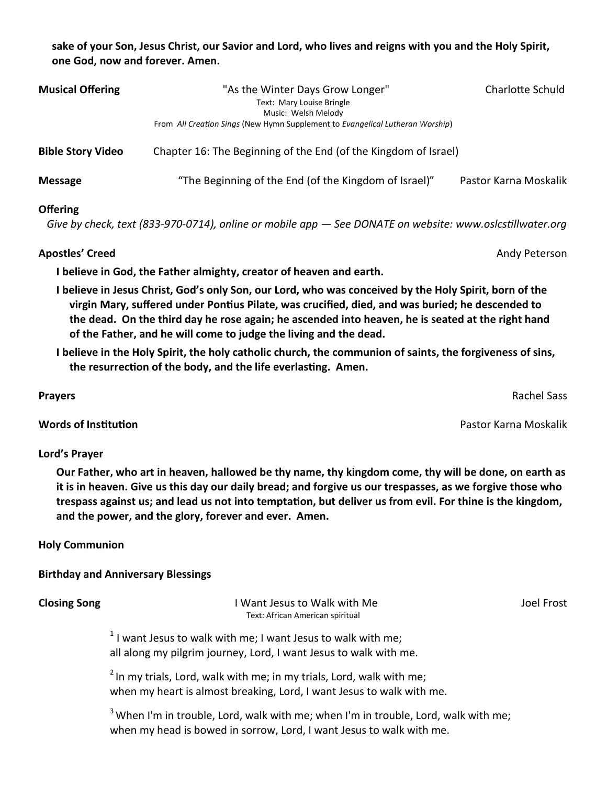### **sake of your Son, Jesus Christ, our Savior and Lord, who lives and reigns with you and the Holy Spirit, one God, now and forever. Amen.**

| <b>Musical Offering</b>  | "As the Winter Days Grow Longer"<br>Text: Mary Louise Bringle<br>Music: Welsh Melody | Charlotte Schuld      |
|--------------------------|--------------------------------------------------------------------------------------|-----------------------|
|                          | From All Creation Sings (New Hymn Supplement to Evangelical Lutheran Worship)        |                       |
| <b>Bible Story Video</b> | Chapter 16: The Beginning of the End (of the Kingdom of Israel)                      |                       |
| <b>Message</b>           | "The Beginning of the End (of the Kingdom of Israel)"                                | Pastor Karna Moskalik |
| <b>Offering</b>          |                                                                                      |                       |

 *Give by check, text (833-970-0714), online or mobile app — See DONATE on website: www.oslcstillwater.org*

### **Apostles' Creed** Andy Peterson

**I believe in God, the Father almighty, creator of heaven and earth.** 

**I believe in Jesus Christ, God's only Son, our Lord, who was conceived by the Holy Spirit, born of the virgin Mary, suffered under Pontius Pilate, was crucified, died, and was buried; he descended to the dead. On the third day he rose again; he ascended into heaven, he is seated at the right hand of the Father, and he will come to judge the living and the dead.** 

**I believe in the Holy Spirit, the holy catholic church, the communion of saints, the forgiveness of sins, the resurrection of the body, and the life everlasting. Amen.**

**Prayers** Rachel Sass

**Words of Institution** Pastor Karna Moskalik

# **Lord's Prayer**

**Our Father, who art in heaven, hallowed be thy name, thy kingdom come, thy will be done, on earth as it is in heaven. Give us this day our daily bread; and forgive us our trespasses, as we forgive those who trespass against us; and lead us not into temptation, but deliver us from evil. For thine is the kingdom, and the power, and the glory, forever and ever. Amen.** 

# **Holy Communion**

# **Birthday and Anniversary Blessings**

**Closing Song The Closing Song The Closing Song The Closing Song The Closing Song The Closing Song The Trump of T** Text: African American spiritual

 $1$  I want Jesus to walk with me; I want Jesus to walk with me; all along my pilgrim journey, Lord, I want Jesus to walk with me.

 $2$ In my trials, Lord, walk with me; in my trials, Lord, walk with me; when my heart is almost breaking, Lord, I want Jesus to walk with me.

 $3$  When I'm in trouble, Lord, walk with me; when I'm in trouble, Lord, walk with me; when my head is bowed in sorrow, Lord, I want Jesus to walk with me.